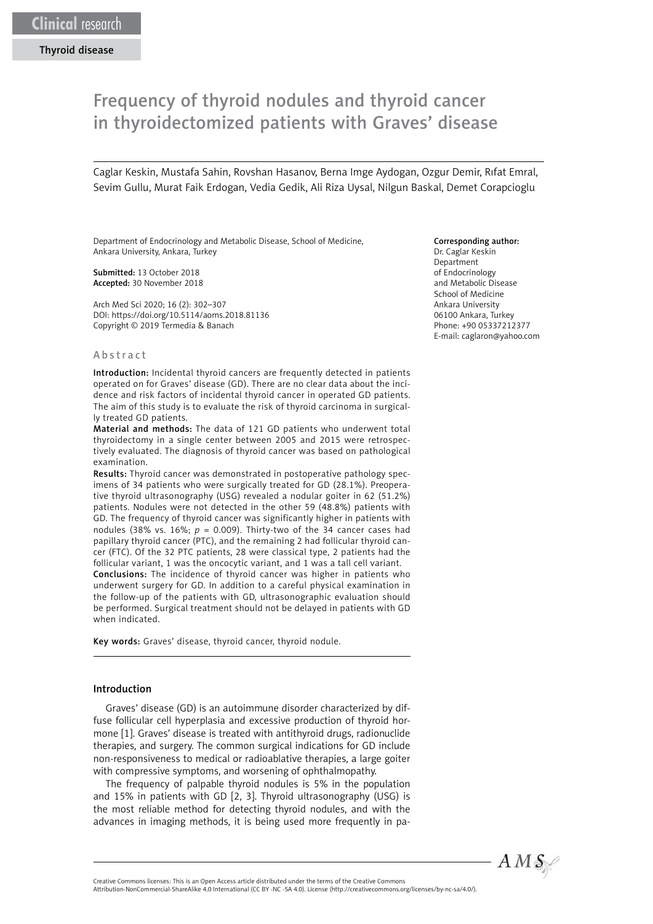# Frequency of thyroid nodules and thyroid cancer in thyroidectomized patients with Graves' disease

Caglar Keskin, Mustafa Sahin, Rovshan Hasanov, Berna Imge Aydogan, Ozgur Demir, Rıfat Emral, Sevim Gullu, Murat Faik Erdogan, Vedia Gedik, Ali Riza Uysal, Nilgun Baskal, Demet Corapcioglu

Department of Endocrinology and Metabolic Disease, School of Medicine, Ankara University, Ankara, Turkey

Submitted: 13 October 2018 Accepted: 30 November 2018

Arch Med Sci 2020; 16 (2): 302–307 DOI: https://doi.org/10.5114/aoms.2018.81136 Copyright © 2019 Termedia & Banach

## Abstract

Introduction: Incidental thyroid cancers are frequently detected in patients operated on for Graves' disease (GD). There are no clear data about the incidence and risk factors of incidental thyroid cancer in operated GD patients. The aim of this study is to evaluate the risk of thyroid carcinoma in surgically treated GD patients.

Material and methods: The data of 121 GD patients who underwent total thyroidectomy in a single center between 2005 and 2015 were retrospectively evaluated. The diagnosis of thyroid cancer was based on pathological examination.

Results: Thyroid cancer was demonstrated in postoperative pathology specimens of 34 patients who were surgically treated for GD (28.1%). Preoperative thyroid ultrasonography (USG) revealed a nodular goiter in 62 (51.2%) patients. Nodules were not detected in the other 59 (48.8%) patients with GD. The frequency of thyroid cancer was significantly higher in patients with nodules (38% vs. 16%;  $p = 0.009$ ). Thirty-two of the 34 cancer cases had papillary thyroid cancer (PTC), and the remaining 2 had follicular thyroid cancer (FTC). Of the 32 PTC patients, 28 were classical type, 2 patients had the follicular variant, 1 was the oncocytic variant, and 1 was a tall cell variant.

Conclusions: The incidence of thyroid cancer was higher in patients who underwent surgery for GD. In addition to a careful physical examination in the follow-up of the patients with GD, ultrasonographic evaluation should be performed. Surgical treatment should not be delayed in patients with GD when indicated.

Key words: Graves' disease, thyroid cancer, thyroid nodule.

## Introduction

Graves' disease (GD) is an autoimmune disorder characterized by diffuse follicular cell hyperplasia and excessive production of thyroid hormone [1]. Graves' disease is treated with antithyroid drugs, radionuclide therapies, and surgery. The common surgical indications for GD include non-responsiveness to medical or radioablative therapies, a large goiter with compressive symptoms, and worsening of ophthalmopathy.

The frequency of palpable thyroid nodules is 5% in the population and 15% in patients with GD [2, 3]. Thyroid ultrasonography (USG) is the most reliable method for detecting thyroid nodules, and with the advances in imaging methods, it is being used more frequently in pa-

### Corresponding author:

Dr. Caglar Keskin Department of Endocrinology and Metabolic Disease School of Medicine Ankara University 06100 Ankara, Turkey Phone: +90 05337212377 E-mail: caglaron@yahoo.com



Attribution-NonCommercial-ShareAlike 4.0 International (CC BY -NC -SA 4.0). License (http://creativecommons.org/licenses/by-nc-sa/4.0/).

Creative Commons licenses: This is an Open Access article distributed under the terms of the Creative Commons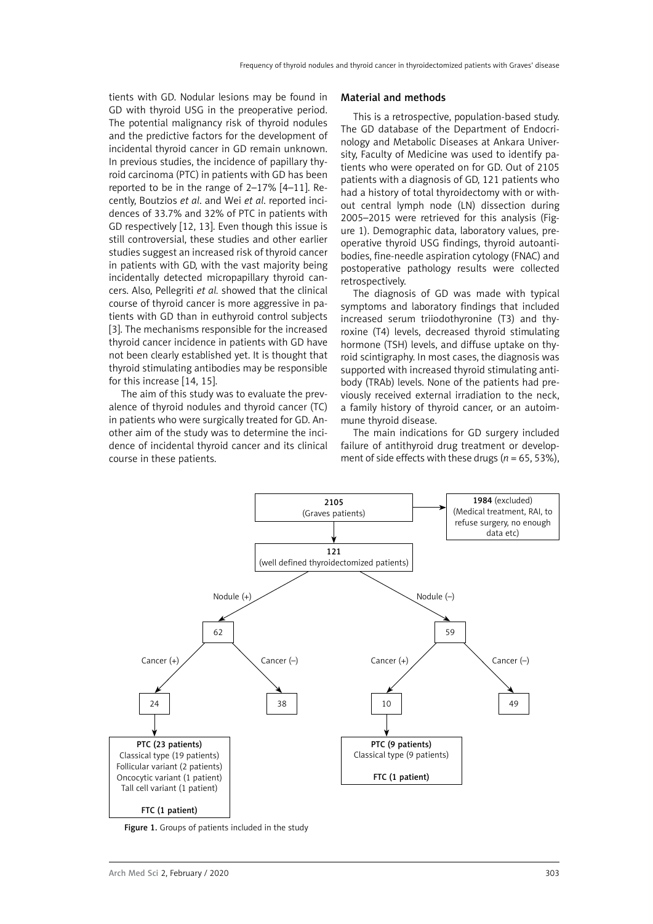tients with GD. Nodular lesions may be found in GD with thyroid USG in the preoperative period. The potential malignancy risk of thyroid nodules and the predictive factors for the development of incidental thyroid cancer in GD remain unknown. In previous studies, the incidence of papillary thyroid carcinoma (PTC) in patients with GD has been reported to be in the range of 2–17% [4–11]. Recently, Boutzios *et al*. and Wei *et al*. reported incidences of 33.7% and 32% of PTC in patients with GD respectively [12, 13]. Even though this issue is still controversial, these studies and other earlier studies suggest an increased risk of thyroid cancer in patients with GD, with the vast majority being incidentally detected micropapillary thyroid cancers. Also, Pellegriti *et al.* showed that the clinical course of thyroid cancer is more aggressive in patients with GD than in euthyroid control subjects [3]. The mechanisms responsible for the increased thyroid cancer incidence in patients with GD have not been clearly established yet. It is thought that thyroid stimulating antibodies may be responsible for this increase [14, 15].

The aim of this study was to evaluate the prevalence of thyroid nodules and thyroid cancer (TC) in patients who were surgically treated for GD. Another aim of the study was to determine the incidence of incidental thyroid cancer and its clinical course in these patients.

#### Material and methods

This is a retrospective, population-based study. The GD database of the Department of Endocrinology and Metabolic Diseases at Ankara University, Faculty of Medicine was used to identify patients who were operated on for GD. Out of 2105 patients with a diagnosis of GD, 121 patients who had a history of total thyroidectomy with or without central lymph node (LN) dissection during 2005–2015 were retrieved for this analysis (Figure 1). Demographic data, laboratory values, preoperative thyroid USG findings, thyroid autoantibodies, fine-needle aspiration cytology (FNAC) and postoperative pathology results were collected retrospectively.

The diagnosis of GD was made with typical symptoms and laboratory findings that included increased serum triiodothyronine (T3) and thyroxine (T4) levels, decreased thyroid stimulating hormone (TSH) levels, and diffuse uptake on thyroid scintigraphy. In most cases, the diagnosis was supported with increased thyroid stimulating antibody (TRAb) levels. None of the patients had previously received external irradiation to the neck, a family history of thyroid cancer, or an autoimmune thyroid disease.

The main indications for GD surgery included failure of antithyroid drug treatment or development of side effects with these drugs ( $n = 65, 53\%$ ),



Figure 1. Groups of patients included in the study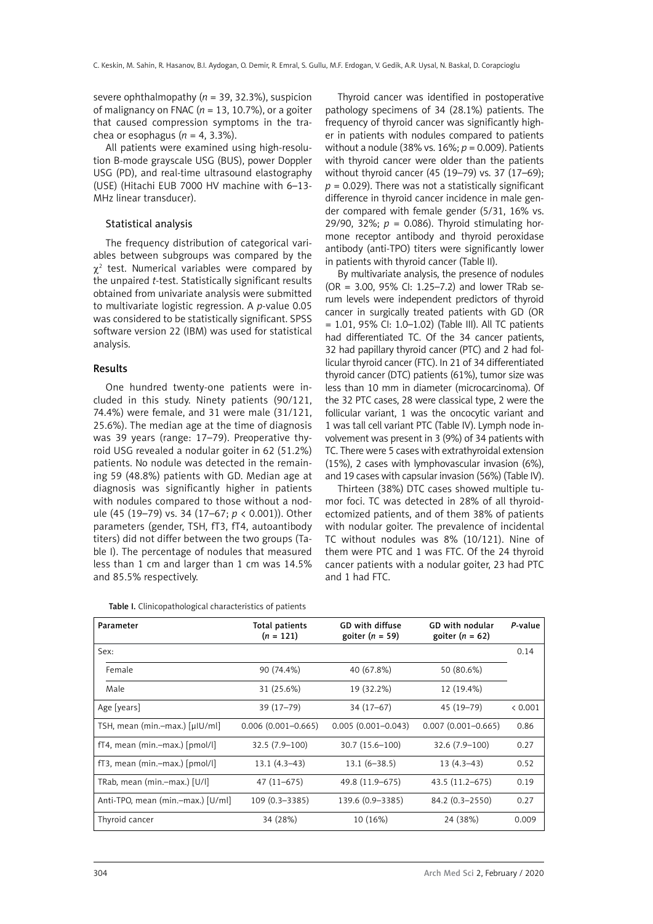severe ophthalmopathy (*n* = 39, 32.3%), suspicion of malignancy on FNAC ( $n = 13, 10.7\%$ ), or a goiter that caused compression symptoms in the trachea or esophagus ( $n = 4$ , 3.3%).

All patients were examined using high-resolution B-mode grayscale USG (BUS), power Doppler USG (PD), and real-time ultrasound elastography (USE) (Hitachi EUB 7000 HV machine with 6–13- MHz linear transducer).

## Statistical analysis

The frequency distribution of categorical variables between subgroups was compared by the  $\chi^2$  test. Numerical variables were compared by the unpaired *t*-test. Statistically significant results obtained from univariate analysis were submitted to multivariate logistic regression. A *p*-value 0.05 was considered to be statistically significant. SPSS software version 22 (IBM) was used for statistical analysis.

# Results

One hundred twenty-one patients were included in this study. Ninety patients (90/121, 74.4%) were female, and 31 were male (31/121, 25.6%). The median age at the time of diagnosis was 39 years (range: 17–79). Preoperative thyroid USG revealed a nodular goiter in 62 (51.2%) patients. No nodule was detected in the remaining 59 (48.8%) patients with GD. Median age at diagnosis was significantly higher in patients with nodules compared to those without a nodule (45 (19–79) vs. 34 (17–67; *p* < 0.001)). Other parameters (gender, TSH, fT3, fT4, autoantibody titers) did not differ between the two groups (Table I). The percentage of nodules that measured less than 1 cm and larger than 1 cm was 14.5% and 85.5% respectively.

| Table I. Clinicopathological characteristics of patients |  |  |
|----------------------------------------------------------|--|--|
|----------------------------------------------------------|--|--|

Thyroid cancer was identified in postoperative pathology specimens of 34 (28.1%) patients. The frequency of thyroid cancer was significantly higher in patients with nodules compared to patients without a nodule (38% vs. 16%; *p* = 0.009). Patients with thyroid cancer were older than the patients without thyroid cancer (45 (19–79) vs. 37 (17–69);  $p = 0.029$ ). There was not a statistically significant difference in thyroid cancer incidence in male gender compared with female gender (5/31, 16% vs. 29/90, 32%;  $p = 0.086$ ). Thyroid stimulating hormone receptor antibody and thyroid peroxidase antibody (anti-TPO) titers were significantly lower in patients with thyroid cancer (Table II).

By multivariate analysis, the presence of nodules (OR = 3.00, 95% CI: 1.25–7.2) and lower TRab serum levels were independent predictors of thyroid cancer in surgically treated patients with GD (OR = 1.01, 95% CI: 1.0–1.02) (Table III). All TC patients had differentiated TC. Of the 34 cancer patients, 32 had papillary thyroid cancer (PTC) and 2 had follicular thyroid cancer (FTC). In 21 of 34 differentiated thyroid cancer (DTC) patients (61%), tumor size was less than 10 mm in diameter (microcarcinoma). Of the 32 PTC cases, 28 were classical type, 2 were the follicular variant, 1 was the oncocytic variant and 1 was tall cell variant PTC (Table IV). Lymph node involvement was present in 3 (9%) of 34 patients with TC. There were 5 cases with extrathyroidal extension (15%), 2 cases with lymphovascular invasion (6%), and 19 cases with capsular invasion (56%) (Table IV).

Thirteen (38%) DTC cases showed multiple tumor foci. TC was detected in 28% of all thyroidectomized patients, and of them 38% of patients with nodular goiter. The prevalence of incidental TC without nodules was 8% (10/121). Nine of them were PTC and 1 was FTC. Of the 24 thyroid cancer patients with a nodular goiter, 23 had PTC and 1 had FTC.

| Parameter                         | Total patients<br>$(n = 121)$ | GD with diffuse<br>goiter ( $n = 59$ ) | GD with nodular<br>goiter $(n = 62)$ | P-value |
|-----------------------------------|-------------------------------|----------------------------------------|--------------------------------------|---------|
| Sex:                              |                               |                                        |                                      | 0.14    |
| Female                            | 90 (74.4%)                    | 40 (67.8%)                             | 50 (80.6%)                           |         |
| Male                              | 31 (25.6%)                    | 19 (32.2%)                             | 12 (19.4%)                           |         |
| Age [years]                       | 39 (17-79)                    | $34(17-67)$                            | 45 (19-79)                           | < 0.001 |
| TSH, mean (min.-max.) [µIU/ml]    | $0.006(0.001 - 0.665)$        | $0.005(0.001 - 0.043)$                 | $0.007(0.001 - 0.665)$               | 0.86    |
| $fT4$ , mean (min.-max.) [pmol/l] | $32.5(7.9-100)$               | $30.7(15.6 - 100)$                     | 32.6 (7.9-100)                       | 0.27    |
| fT3, mean (min.-max.) [pmol/l]    | $13.1(4.3-43)$                | $13.1(6-38.5)$                         | $13(4.3-43)$                         | 0.52    |
| TRab, mean (min.-max.) [U/l]      | $47(11-675)$                  | 49.8 (11.9–675)                        | 43.5 (11.2–675)                      | 0.19    |
| Anti-TPO, mean (min.-max.) [U/ml] | 109 (0.3-3385)                | 139.6 (0.9-3385)                       | 84.2 (0.3-2550)                      | 0.27    |
| Thyroid cancer                    | 34 (28%)                      | 10 (16%)                               | 24 (38%)                             | 0.009   |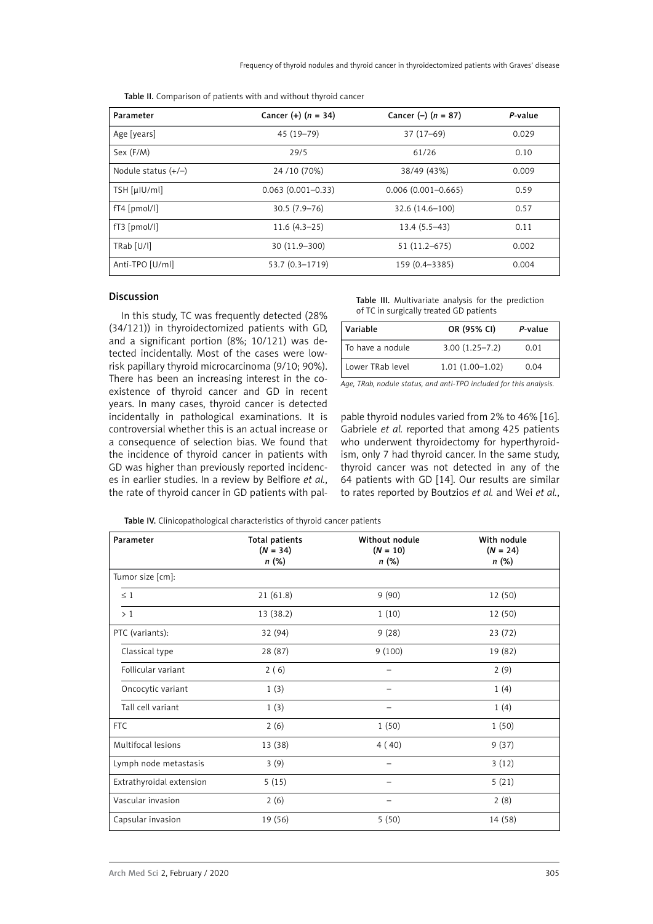| Parameter             | Cancer (+) $(n = 34)$ | Cancer $(-)$ $(n = 87)$ | P-value |
|-----------------------|-----------------------|-------------------------|---------|
| Age [years]           | $45(19 - 79)$         | $37(17-69)$             | 0.029   |
| Sex (F/M)             | 29/5                  | 61/26                   | 0.10    |
| Nodule status $(+/-)$ | 24 / 10 (70%)         | 38/49 (43%)             | 0.009   |
| TSH [µIU/ml]          | $0.063(0.001 - 0.33)$ | $0.006(0.001 - 0.665)$  | 0.59    |
| fT4 [pmol/l]          | $30.5(7.9 - 76)$      | 32.6 (14.6-100)         | 0.57    |
| $fT3$ [pmol/l]        | $11.6(4.3-25)$        | $13.4(5.5-43)$          | 0.11    |
| TRab [U/l]            | 30 (11.9-300)         | 51 (11.2–675)           | 0.002   |
| Anti-TPO [U/ml]       | 53.7 (0.3-1719)       | 159 (0.4-3385)          | 0.004   |

Table II. Comparison of patients with and without thyroid cancer

# Discussion

In this study, TC was frequently detected (28% (34/121)) in thyroidectomized patients with GD, and a significant portion (8%; 10/121) was detected incidentally. Most of the cases were lowrisk papillary thyroid microcarcinoma (9/10; 90%). There has been an increasing interest in the coexistence of thyroid cancer and GD in recent years. In many cases, thyroid cancer is detected incidentally in pathological examinations. It is controversial whether this is an actual increase or a consequence of selection bias. We found that the incidence of thyroid cancer in patients with GD was higher than previously reported incidences in earlier studies. In a review by Belfiore *et al.*, the rate of thyroid cancer in GD patients with palTable III. Multivariate analysis for the prediction of TC in surgically treated GD patients

| Variable         | OR (95% CI)        | P-value |
|------------------|--------------------|---------|
| To have a nodule | $3.00(1.25 - 7.2)$ | 0.01    |
| Lower TRab level | $1.01(1.00-1.02)$  | 0.04    |

*Age, TRab, nodule status, and anti-TPO included for this analysis.*

pable thyroid nodules varied from 2% to 46% [16]. Gabriele *et al.* reported that among 425 patients who underwent thyroidectomy for hyperthyroidism, only 7 had thyroid cancer. In the same study, thyroid cancer was not detected in any of the 64 patients with GD [14]. Our results are similar to rates reported by Boutzios *et al.* and Wei *et al.*,

Table IV. Clinicopathological characteristics of thyroid cancer patients

| Parameter                | <b>Total patients</b><br>$(N = 34)$ | Without nodule<br>$(N = 10)$ | With nodule<br>$(N = 24)$ |
|--------------------------|-------------------------------------|------------------------------|---------------------------|
|                          | n (%)                               | n (%)                        | n (%)                     |
| Tumor size [cm]:         |                                     |                              |                           |
| $\leq 1$                 | 21(61.8)                            | 9(90)                        | 12(50)                    |
| >1                       | 13 (38.2)                           | 1(10)                        | 12(50)                    |
| PTC (variants):          | 32 (94)                             | 9(28)                        | 23(72)                    |
| Classical type           | 28 (87)                             | 9(100)                       | 19 (82)                   |
| Follicular variant       | 2(6)                                | -                            | 2(9)                      |
| Oncocytic variant        | 1(3)                                |                              | 1(4)                      |
| Tall cell variant        | 1(3)                                |                              | 1(4)                      |
| <b>FTC</b>               | 2(6)                                | 1(50)                        | 1(50)                     |
| Multifocal lesions       | 13 (38)                             | 4(40)                        | 9(37)                     |
| Lymph node metastasis    | 3(9)                                |                              | 3(12)                     |
| Extrathyroidal extension | 5(15)                               |                              | 5(21)                     |
| Vascular invasion        | 2(6)                                |                              | 2(8)                      |
| Capsular invasion        | 19 (56)                             | 5(50)                        | 14 (58)                   |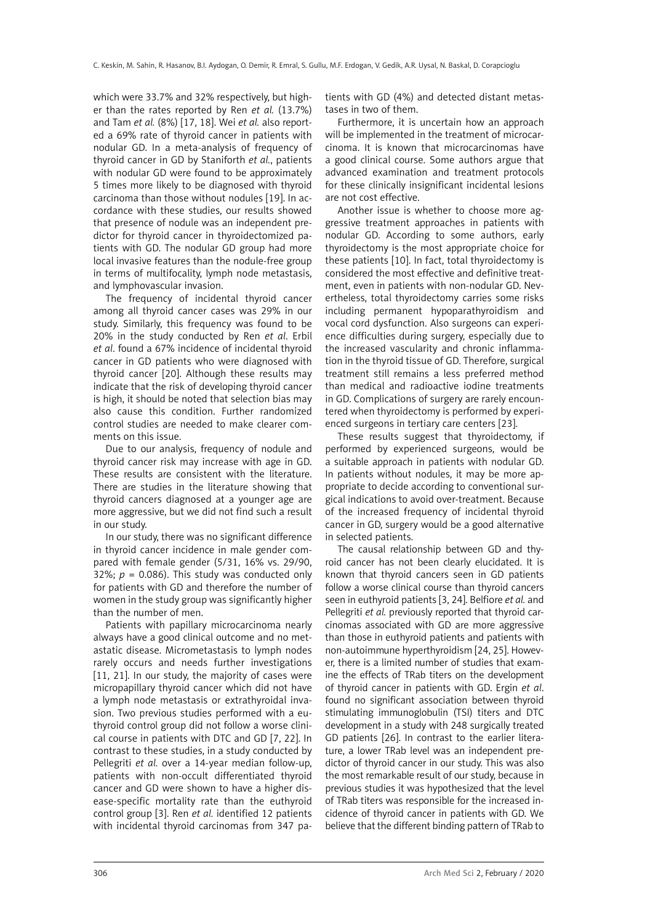which were 33.7% and 32% respectively, but higher than the rates reported by Ren *et al.* (13.7%) and Tam *et al.* (8%) [17, 18]. Wei *et al.* also reported a 69% rate of thyroid cancer in patients with nodular GD. In a meta-analysis of frequency of thyroid cancer in GD by Staniforth *et al.*, patients with nodular GD were found to be approximately 5 times more likely to be diagnosed with thyroid carcinoma than those without nodules [19]. In accordance with these studies, our results showed that presence of nodule was an independent predictor for thyroid cancer in thyroidectomized patients with GD. The nodular GD group had more local invasive features than the nodule-free group in terms of multifocality, lymph node metastasis, and lymphovascular invasion.

The frequency of incidental thyroid cancer among all thyroid cancer cases was 29% in our study. Similarly, this frequency was found to be 20% in the study conducted by Ren *et al*. Erbil *et al*. found a 67% incidence of incidental thyroid cancer in GD patients who were diagnosed with thyroid cancer [20]. Although these results may indicate that the risk of developing thyroid cancer is high, it should be noted that selection bias may also cause this condition. Further randomized control studies are needed to make clearer comments on this issue.

Due to our analysis, frequency of nodule and thyroid cancer risk may increase with age in GD. These results are consistent with the literature. There are studies in the literature showing that thyroid cancers diagnosed at a younger age are more aggressive, but we did not find such a result in our study.

In our study, there was no significant difference in thyroid cancer incidence in male gender compared with female gender (5/31, 16% vs. 29/90, 32%;  $p = 0.086$ ). This study was conducted only for patients with GD and therefore the number of women in the study group was significantly higher than the number of men.

Patients with papillary microcarcinoma nearly always have a good clinical outcome and no metastatic disease. Micrometastasis to lymph nodes rarely occurs and needs further investigations [11, 21]. In our study, the majority of cases were micropapillary thyroid cancer which did not have a lymph node metastasis or extrathyroidal invasion. Two previous studies performed with a euthyroid control group did not follow a worse clinical course in patients with DTC and GD [7, 22]. In contrast to these studies, in a study conducted by Pellegriti *et al.* over a 14-year median follow-up, patients with non-occult differentiated thyroid cancer and GD were shown to have a higher disease-specific mortality rate than the euthyroid control group [3]. Ren *et al.* identified 12 patients with incidental thyroid carcinomas from 347 patients with GD (4%) and detected distant metastases in two of them.

Furthermore, it is uncertain how an approach will be implemented in the treatment of microcarcinoma. It is known that microcarcinomas have a good clinical course. Some authors argue that advanced examination and treatment protocols for these clinically insignificant incidental lesions are not cost effective.

Another issue is whether to choose more aggressive treatment approaches in patients with nodular GD. According to some authors, early thyroidectomy is the most appropriate choice for these patients [10]. In fact, total thyroidectomy is considered the most effective and definitive treatment, even in patients with non-nodular GD. Nevertheless, total thyroidectomy carries some risks including permanent hypoparathyroidism and vocal cord dysfunction. Also surgeons can experience difficulties during surgery, especially due to the increased vascularity and chronic inflammation in the thyroid tissue of GD. Therefore, surgical treatment still remains a less preferred method than medical and radioactive iodine treatments in GD. Complications of surgery are rarely encountered when thyroidectomy is performed by experienced surgeons in tertiary care centers [23].

These results suggest that thyroidectomy, if performed by experienced surgeons, would be a suitable approach in patients with nodular GD. In patients without nodules, it may be more appropriate to decide according to conventional surgical indications to avoid over-treatment. Because of the increased frequency of incidental thyroid cancer in GD, surgery would be a good alternative in selected patients.

The causal relationship between GD and thyroid cancer has not been clearly elucidated. It is known that thyroid cancers seen in GD patients follow a worse clinical course than thyroid cancers seen in euthyroid patients [3, 24]. Belfiore *et al.* and Pellegriti *et al.* previously reported that thyroid carcinomas associated with GD are more aggressive than those in euthyroid patients and patients with non-autoimmune hyperthyroidism [24, 25]. However, there is a limited number of studies that examine the effects of TRab titers on the development of thyroid cancer in patients with GD. Ergin *et al*. found no significant association between thyroid stimulating immunoglobulin (TSI) titers and DTC development in a study with 248 surgically treated GD patients [26]. In contrast to the earlier literature, a lower TRab level was an independent predictor of thyroid cancer in our study. This was also the most remarkable result of our study, because in previous studies it was hypothesized that the level of TRab titers was responsible for the increased incidence of thyroid cancer in patients with GD. We believe that the different binding pattern of TRab to